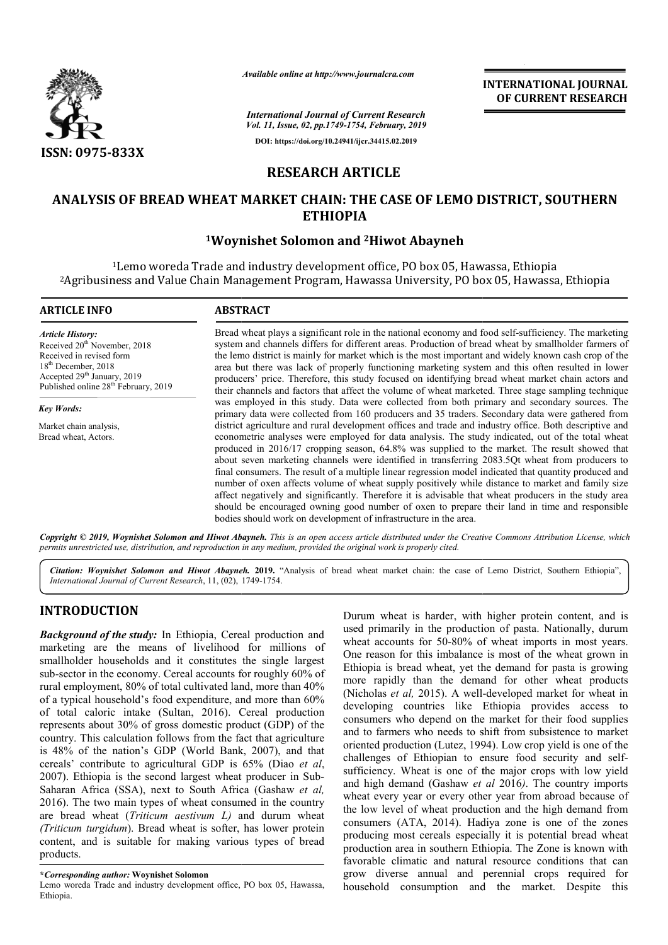

*Available online at http://www.journalcra.com*

*International Journal of Current Research Vol. 11, Issue, 02, pp.1749-1754, February, 2019* **DOI: https://doi.org/10.24941/ijcr.34415.02.2019**

**INTERNATIONAL JOURNAL OF CURRENT RESEARCH**

# **RESEARCH ARTICLE**

## **ANALYSIS OF BREAD WHEAT MARKET CHAIN: THE CASE OF LEMO DISTRICT, SOUTHERN WHEAT MARKET THE CASE OF LEMO ETHIOPIA**

## <sup>1</sup>Woynishet Solomon and <sup>2</sup>Hiwot Abayneh

1Lemo woreda Trade and industry development office, PO box 05, Hawassa, Ethiopia <sup>1</sup>Lemo woreda Trade and industry development office, PO box 05, Hawassa, Ethiopia<br>Agribusiness and Value Chain Management Program, Hawassa University, PO box 05, Hawassa, Ethiopia?

| <b>ARTICLE INFO</b>                                                                                                                                                                                                     | <b>ABSTRACT</b>                                                                                                                                                                                                                                                                                                                                                                                                                                                                                                                                                                                                                                                                                                                                                                                                                                                                                              |  |  |  |  |  |
|-------------------------------------------------------------------------------------------------------------------------------------------------------------------------------------------------------------------------|--------------------------------------------------------------------------------------------------------------------------------------------------------------------------------------------------------------------------------------------------------------------------------------------------------------------------------------------------------------------------------------------------------------------------------------------------------------------------------------------------------------------------------------------------------------------------------------------------------------------------------------------------------------------------------------------------------------------------------------------------------------------------------------------------------------------------------------------------------------------------------------------------------------|--|--|--|--|--|
| <b>Article History:</b><br>Received 20 <sup>th</sup> November, 2018<br>Received in revised form<br>$18th$ December, 2018<br>Accepted 29 <sup>th</sup> January, 2019<br>Published online 28 <sup>th</sup> February, 2019 | Bread wheat plays a significant role in the national economy and food self-sufficiency. The marketing<br>system and channels differs for different areas. Production of bread wheat by smallholder farmers of<br>the lemo district is mainly for market which is the most important and widely known cash crop of the<br>area but there was lack of properly functioning marketing system and this often resulted in lower<br>producers' price. Therefore, this study focused on identifying bread wheat market chain actors and<br>their channels and factors that affect the volume of wheat marketed. Three stage sampling technique                                                                                                                                                                                                                                                                      |  |  |  |  |  |
| <b>Key Words:</b>                                                                                                                                                                                                       | was employed in this study. Data were collected from both primary and secondary sources. The<br>primary data were collected from 160 producers and 35 traders. Secondary data were gathered from                                                                                                                                                                                                                                                                                                                                                                                                                                                                                                                                                                                                                                                                                                             |  |  |  |  |  |
| Market chain analysis,<br>Bread wheat, Actors.                                                                                                                                                                          | district agriculture and rural development offices and trade and industry office. Both descriptive and<br>econometric analyses were employed for data analysis. The study indicated, out of the total wheat<br>produced in 2016/17 cropping season, 64.8% was supplied to the market. The result showed that<br>about seven marketing channels were identified in transferring 2083.5Qt wheat from producers to<br>final consumers. The result of a multiple linear regression model indicated that quantity produced and<br>number of oxen affects volume of wheat supply positively while distance to market and family size<br>affect negatively and significantly. Therefore it is advisable that wheat producers in the study area<br>should be encouraged owning good number of oxen to prepare their land in time and responsible<br>bodies should work on development of infrastructure in the area. |  |  |  |  |  |

Copyright © 2019, Woynishet Solomon and Hiwot Abayneh. This is an open access article distributed under the Creative Commons Attribution License, which permits unrestricted use, distribution, and reproduction in any medium, provided the original work is properly cited.

Citation: Woynishet Solomon and Hiwot Abayneh. 2019. "Analysis of bread wheat market chain: the case of Lemo District, Southern Ethiopia", *International Journal of Current Research*, 11, (02), 1749-1754.

## **INTRODUCTION**

*Background of the study:* In Ethiopia, Cereal production and marketing are the means of livelihood for millions of smallholder households and it constitutes the single largest sub-sector in the economy. Cereal accounts for roughly 60% of rural employment, 80% of total cultivated land, more than 40% of a typical household's food expenditure, and more than 60% of total caloric intake (Sultan, 2016). Cereal production represents about 30% of gross domestic product (GDP) of the country. This calculation follows from the fact that agriculture is 48% of the nation's GDP (World Bank, 2007), and that cereals' contribute to agricultural GDP is 65% (Diao *et al*, 2007). Ethiopia is the second largest wheat producer in Sub Sub-Saharan Africa (SSA), next to South Africa (Gashaw *et al,* 2016). The two main types of wheat consumed in the country are bread wheat (*Triticum aestivum L)* and durum wheat *(Triticum turgidum*). Bread wheat is softer, has lower protein content, and is suitable for making various types of bread products. sector in the economy. Cereal accounts for roughly 60% of<br>l employment, 80% of total cultivated land, more than 40%<br>typical household's food expenditure, and more than 60%<br>otal caloric intake (Sultan, 2016). Cereal product

Lemo woreda Trade and industry development office, PO box 05, Hawassa, Ethiopia.

**Example 10** Burum wheat is harder, with higher protein content, and is used primarily in the production of pasta. Nationally, durum wheat is wheat accounts for 50-80% of wheat imports in most years. Notice the most inves Durum wheat is harder, with higher protein content, and is used primarily in the production of pasta. Nationally, durum wheat accounts for 50-80% of wheat imports in most years. One reason for this imbalance is most of the wheat grown in Ethiopia is bread wheat, yet the demand for pasta is growing more rapidly than the demand for other wheat products wheat accounts for 50-80% of wheat imports in most years.<br>One reason for this imbalance is most of the wheat grown in<br>Ethiopia is bread wheat, yet the demand for pasta is growing<br>more rapidly than the demand for other whea developing countries like Ethiopia provides access to consumers who depend on the market for their food supplies and to farmers who needs to shift from subsistence to market oriented production (Lutez, 1994). Low crop yield is one of the challenges of Ethiopian to ensure food security and selfsufficiency. Wheat is one of the major crops with low yield and high demand (Gashaw *et al* 2016). The country imports wheat every year or every other year from abroad because of the low level of wheat production and the high demand from consumers (ATA, 2014). Hadiya zone is one of the zones producing most cereals especially it is potential bread wheat production area in southern Ethiopia. The Zone is known with favorable climatic and natural resource conditions that can grow diverse annual and perennial crops required for household consumption and the market. Despite this mtries like Ethiopia provides<br>depend on the market for their fo<br>who needs to shift from subsistene *are particles of the ceremic scattering* **DEFERIATIONAL JOURNAL TOURNEL (COURRENT RESEARCH CONEXCHENT (COURRENT RESEARCH CONEXCHENT (COURRENT RESEARCH CONEXCHENT (COURRENT RESEARCH CONEXCHENT (COURRENT RESEARCH CONEXCHEN** 

**<sup>\*</sup>***Corresponding author:* **Woynishet Solomon**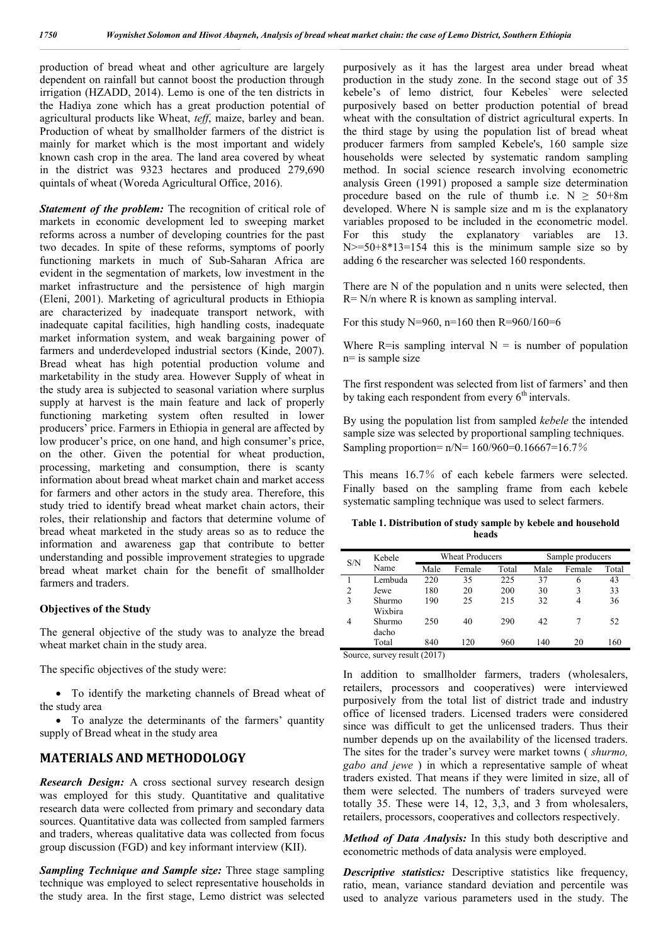production of bread wheat and other agriculture are largely dependent on rainfall but cannot boost the production through irrigation (HZADD, 2014). Lemo is one of the ten districts in the Hadiya zone which has a great production potential of agricultural products like Wheat, *teff*, maize, barley and bean. Production of wheat by smallholder farmers of the district is mainly for market which is the most important and widely known cash crop in the area. The land area covered by wheat in the district was 9323 hectares and produced 279,690 quintals of wheat (Woreda Agricultural Office, 2016).

**Statement of the problem:** The recognition of critical role of markets in economic development led to sweeping market reforms across a number of developing countries for the past two decades. In spite of these reforms, symptoms of poorly functioning markets in much of Sub-Saharan Africa are evident in the segmentation of markets, low investment in the market infrastructure and the persistence of high margin (Eleni, 2001). Marketing of agricultural products in Ethiopia are characterized by inadequate transport network, with inadequate capital facilities, high handling costs, inadequate market information system, and weak bargaining power of farmers and underdeveloped industrial sectors (Kinde, 2007). Bread wheat has high potential production volume and marketability in the study area. However Supply of wheat in the study area is subjected to seasonal variation where surplus supply at harvest is the main feature and lack of properly functioning marketing system often resulted in lower producers' price. Farmers in Ethiopia in general are affected by low producer's price, on one hand, and high consumer's price, on the other. Given the potential for wheat production, processing, marketing and consumption, there is scanty information about bread wheat market chain and market access for farmers and other actors in the study area. Therefore, this study tried to identify bread wheat market chain actors, their roles, their relationship and factors that determine volume of bread wheat marketed in the study areas so as to reduce the information and awareness gap that contribute to better understanding and possible improvement strategies to upgrade bread wheat market chain for the benefit of smallholder farmers and traders.

### **Objectives of the Study**

The general objective of the study was to analyze the bread wheat market chain in the study area.

The specific objectives of the study were:

 To identify the marketing channels of Bread wheat of the study area

• To analyze the determinants of the farmers' quantity supply of Bread wheat in the study area

### **MATERIALS AND METHODOLOGY**

*Research Design:* A cross sectional survey research design was employed for this study. Quantitative and qualitative research data were collected from primary and secondary data sources. Quantitative data was collected from sampled farmers and traders, whereas qualitative data was collected from focus group discussion (FGD) and key informant interview (KII).

*Sampling Technique and Sample size:* Three stage sampling technique was employed to select representative households in the study area. In the first stage, Lemo district was selected purposively as it has the largest area under bread wheat production in the study zone. In the second stage out of 35 kebele's of lemo district*,* four Kebeles` were selected purposively based on better production potential of bread wheat with the consultation of district agricultural experts. In the third stage by using the population list of bread wheat producer farmers from sampled Kebele's, 160 sample size households were selected by systematic random sampling method. In social science research involving econometric analysis Green (1991) proposed a sample size determination procedure based on the rule of thumb i.e.  $N \geq 50+8m$ developed. Where N is sample size and m is the explanatory variables proposed to be included in the econometric model. For this study the explanatory variables are 13.  $N \ge 50+8*13=154$  this is the minimum sample size so by adding 6 the researcher was selected 160 respondents.

There are N of the population and n units were selected, then R= N/n where R is known as sampling interval.

For this study N=960, n=160 then R=960/160=6

Where R=is sampling interval  $N =$  is number of population n= is sample size

The first respondent was selected from list of farmers' and then by taking each respondent from every  $6<sup>th</sup>$  intervals.

By using the population list from sampled *kebele* the intended sample size was selected by proportional sampling techniques. Sampling proportion=  $n/N= 160/960=0.16667=16.7%$ 

This means 16.7% of each kebele farmers were selected. Finally based on the sampling frame from each kebele systematic sampling technique was used to select farmers.

**Table 1. Distribution of study sample by kebele and household heads**

| S/N            | Kebele            | <b>Wheat Producers</b> |        |       | Sample producers |        |       |
|----------------|-------------------|------------------------|--------|-------|------------------|--------|-------|
|                | Name              | Male                   | Female | Total | Male             | Female | Total |
|                | Lembuda           | 220                    | 35     | 225   | 37               | 6      | 43    |
| $\overline{2}$ | Jewe              | 180                    | 20     | 200   | 30               |        | 33    |
| 3              | Shurmo<br>Wixbira | 190                    | 25     | 215   | 32               | 4      | 36    |
| 4              | Shurmo<br>dacho   | 250                    | 40     | 290   | 42               |        | 52    |
|                | Total             | 840                    | 120    | 960   | 140              | 20     | 160   |

Source, survey result (2017)

In addition to smallholder farmers, traders (wholesalers, retailers, processors and cooperatives) were interviewed purposively from the total list of district trade and industry office of licensed traders. Licensed traders were considered since was difficult to get the unlicensed traders. Thus their number depends up on the availability of the licensed traders. The sites for the trader's survey were market towns ( *shurmo, gabo and jewe* ) in which a representative sample of wheat traders existed. That means if they were limited in size, all of them were selected. The numbers of traders surveyed were totally 35. These were 14, 12, 3,3, and 3 from wholesalers, retailers, processors, cooperatives and collectors respectively.

*Method of Data Analysis:* In this study both descriptive and econometric methods of data analysis were employed.

*Descriptive statistics:* Descriptive statistics like frequency, ratio, mean, variance standard deviation and percentile was used to analyze various parameters used in the study. The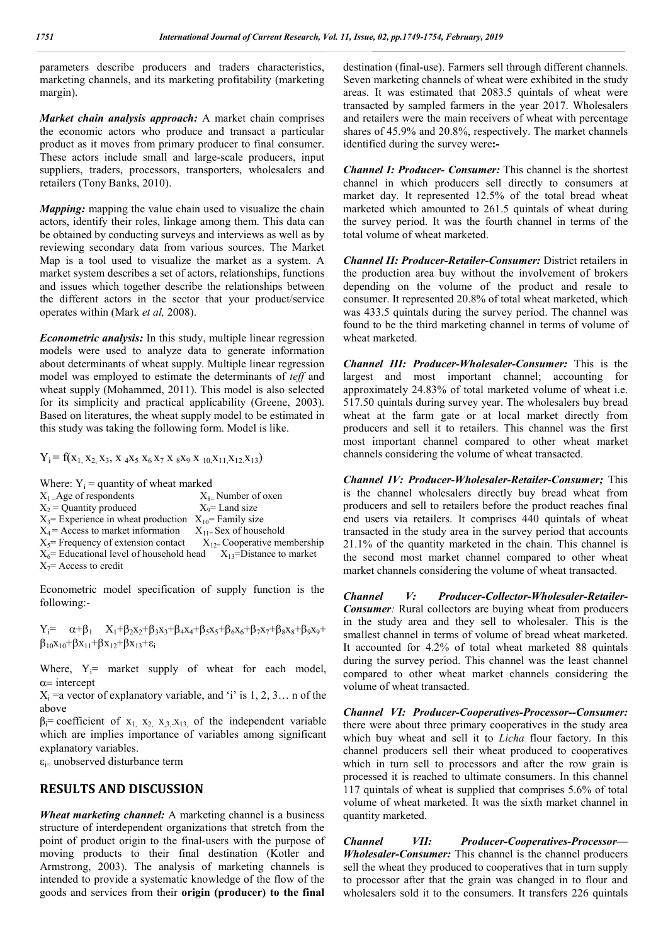parameters describe producers and traders characteristics, marketing channels, and its marketing profitability (marketing margin).

*Market chain analysis approach:* A market chain comprises the economic actors who produce and transact a particular product as it moves from primary producer to final consumer. These actors include small and large-scale producers, input suppliers, traders, processors, transporters, wholesalers and retailers (Tony Banks, 2010).

*Mapping:* mapping the value chain used to visualize the chain actors, identify their roles, linkage among them. This data can be obtained by conducting surveys and interviews as well as by reviewing secondary data from various sources. The Market Map is a tool used to visualize the market as a system. A market system describes a set of actors, relationships, functions and issues which together describe the relationships between the different actors in the sector that your product/service operates within (Mark *et al,* 2008).

*Econometric analysis:* In this study, multiple linear regression models were used to analyze data to generate information about determinants of wheat supply. Multiple linear regression model was employed to estimate the determinants of *teff* and wheat supply (Mohammed, 2011). This model is also selected for its simplicity and practical applicability (Greene, 2003). Based on literatures, the wheat supply model to be estimated in this study was taking the following form. Model is like.

 $Y_i = f(x_1, x_2, x_3, x_4x_5, x_6x_7, x_8x_9, x_{10}, x_{11}, x_{12}, x_{13})$ 

Where:  $Y_i$  = quantity of wheat marked

| $X_1 =$ Age of respondents                                              | $X_{8}$ Number of oxen          |
|-------------------------------------------------------------------------|---------------------------------|
| $X_2$ = Quantity produced                                               | $X_9$ = Land size               |
| $X_3$ = Experience in wheat production $X_{10}$ = Family size           |                                 |
| $X_4$ = Access to market information                                    | $X_{11}$ Sex of household       |
| $X_5$ = Frequency of extension contact                                  | $X_{12}$ Cooperative membership |
| $X_6$ Educational level of household head $X_{13}$ = Distance to market |                                 |
| $X_7$ = Access to credit                                                |                                 |
|                                                                         |                                 |

Econometric model specification of supply function is the following:-

 $Y_i = \alpha + \beta_1$   $X_1 + \beta_2 X_2 + \beta_3 X_3 + \beta_4 X_4 + \beta_5 X_5 + \beta_6 X_6 + \beta_7 X_7 + \beta_8 X_8 + \beta_9 X_9 +$  $\beta_{10}x_{10}+\beta x_{11}+\beta x_{12}+\beta x_{13}+\epsilon_i$ 

Where,  $Y_i$ = market supply of wheat for each model,  $\alpha$ = intercept

 $X_i$  =a vector of explanatory variable, and 'i' is 1, 2, 3... n of the above

 $\beta_i$ = coefficient of x<sub>1,</sub> x<sub>2,</sub> x<sub>3,</sub>x<sub>13</sub>, of the independent variable which are implies importance of variables among significant explanatory variables.

 $\varepsilon_{i=}$  unobserved disturbance term

### **RESULTS AND DISCUSSION**

*Wheat marketing channel:* A marketing channel is a business structure of interdependent organizations that stretch from the point of product origin to the final-users with the purpose of moving products to their final destination (Kotler and Armstrong, 2003). The analysis of marketing channels is intended to provide a systematic knowledge of the flow of the goods and services from their **origin (producer) to the final**  destination (final-use). Farmers sell through different channels. Seven marketing channels of wheat were exhibited in the study areas. It was estimated that 2083.5 quintals of wheat were transacted by sampled farmers in the year 2017. Wholesalers and retailers were the main receivers of wheat with percentage shares of 45.9% and 20.8%, respectively. The market channels identified during the survey were**:-**

*Channel I: Producer- Consumer:* This channel is the shortest channel in which producers sell directly to consumers at market day. It represented 12.5% of the total bread wheat marketed which amounted to 261.5 quintals of wheat during the survey period. It was the fourth channel in terms of the total volume of wheat marketed.

*Channel II: Producer-Retailer-Consumer:* District retailers in the production area buy without the involvement of brokers depending on the volume of the product and resale to consumer. It represented 20.8% of total wheat marketed, which was 433.5 quintals during the survey period. The channel was found to be the third marketing channel in terms of volume of wheat marketed.

*Channel III: Producer-Wholesaler-Consumer:* This is the largest and most important channel; accounting for approximately 24.83% of total marketed volume of wheat i.e. 517.50 quintals during survey year. The wholesalers buy bread wheat at the farm gate or at local market directly from producers and sell it to retailers. This channel was the first most important channel compared to other wheat market channels considering the volume of wheat transacted.

*Channel IV: Producer-Wholesaler-Retailer-Consumer;* This is the channel wholesalers directly buy bread wheat from producers and sell to retailers before the product reaches final end users via retailers. It comprises 440 quintals of wheat transacted in the study area in the survey period that accounts 21.1% of the quantity marketed in the chain. This channel is the second most market channel compared to other wheat market channels considering the volume of wheat transacted.

*Channel V: Producer-Collector-Wholesaler-Retailer-Consumer*: Rural collectors are buying wheat from producers in the study area and they sell to wholesaler. This is the smallest channel in terms of volume of bread wheat marketed. It accounted for 4.2% of total wheat marketed 88 quintals during the survey period. This channel was the least channel compared to other wheat market channels considering the volume of wheat transacted.

*Channel VI: Producer-Cooperatives-Processor--Consumer:* there were about three primary cooperatives in the study area which buy wheat and sell it to *Licha* flour factory. In this channel producers sell their wheat produced to cooperatives which in turn sell to processors and after the row grain is processed it is reached to ultimate consumers. In this channel 117 quintals of wheat is supplied that comprises 5.6% of total volume of wheat marketed. It was the sixth market channel in quantity marketed.

*Channel VII: Producer-Cooperatives-Processor— Wholesaler-Consumer:* This channel is the channel producers sell the wheat they produced to cooperatives that in turn supply to processor after that the grain was changed in to flour and wholesalers sold it to the consumers. It transfers 226 quintals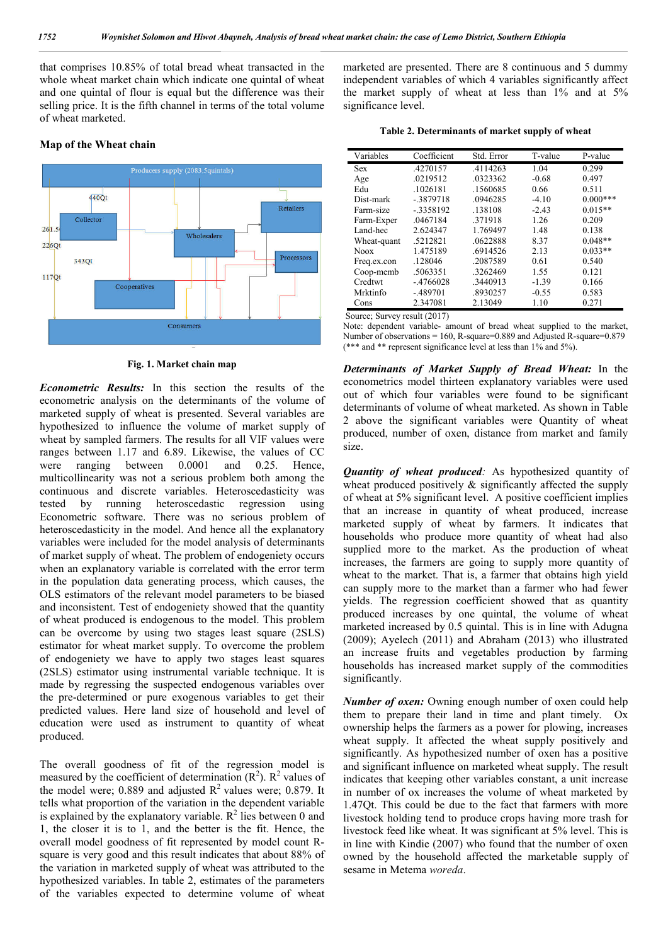that comprises 10.85% of total bread wheat transacted in the whole wheat market chain which indicate one quintal of wheat and one quintal of flour is equal but the difference was their selling price. It is the fifth channel in terms of the total volume of wheat marketed.

#### **Map of the Wheat chain**



**Fig. 1. Market chain map**

*Econometric Results:* In this section the results of the econometric analysis on the determinants of the volume of marketed supply of wheat is presented. Several variables are hypothesized to influence the volume of market supply of wheat by sampled farmers. The results for all VIF values were ranges between 1.17 and 6.89. Likewise, the values of CC were ranging between 0.0001 and 0.25. Hence, multicollinearity was not a serious problem both among the continuous and discrete variables. Heteroscedasticity was tested by running heteroscedastic regression using Econometric software. There was no serious problem of heteroscedasticity in the model. And hence all the explanatory variables were included for the model analysis of determinants of market supply of wheat. The problem of endogeniety occurs when an explanatory variable is correlated with the error term in the population data generating process, which causes, the OLS estimators of the relevant model parameters to be biased and inconsistent. Test of endogeniety showed that the quantity of wheat produced is endogenous to the model. This problem can be overcome by using two stages least square (2SLS) estimator for wheat market supply. To overcome the problem of endogeniety we have to apply two stages least squares (2SLS) estimator using instrumental variable technique. It is made by regressing the suspected endogenous variables over the pre-determined or pure exogenous variables to get their predicted values. Here land size of household and level of education were used as instrument to quantity of wheat produced.

The overall goodness of fit of the regression model is measured by the coefficient of determination  $(R^2)$ .  $R^2$  values of the model were; 0.889 and adjusted  $\mathbb{R}^2$  values were; 0.879. It tells what proportion of the variation in the dependent variable is explained by the explanatory variable.  $R^2$  lies between 0 and 1, the closer it is to 1, and the better is the fit. Hence, the overall model goodness of fit represented by model count Rsquare is very good and this result indicates that about 88% of the variation in marketed supply of wheat was attributed to the hypothesized variables. In table 2, estimates of the parameters of the variables expected to determine volume of wheat marketed are presented. There are 8 continuous and 5 dummy independent variables of which 4 variables significantly affect the market supply of wheat at less than 1% and at 5% significance level.

| Variables   | Coefficient | Std. Error | T-value | P-value    |
|-------------|-------------|------------|---------|------------|
| <b>Sex</b>  | .4270157    | .4114263   | 1.04    | 0.299      |
| Age         | .0219512    | 0323362    | $-0.68$ | 0.497      |
| Edu         | .1026181    | .1560685   | 0.66    | 0.511      |
| Dist-mark   | $-3879718$  | .0946285   | $-4.10$ | $0.000***$ |
| Farm-size   | $-3358192$  | .138108    | $-2.43$ | $0.015**$  |
| Farm-Exper  | .0467184    | .371918    | 1.26    | 0.209      |
| Land-hec    | 2.624347    | 1.769497   | 1.48    | 0.138      |
| Wheat-quant | .5212821    | 0622888    | 8.37    | $0.048**$  |
| <b>Noox</b> | 1.475189    | .6914526   | 2.13    | $0.033**$  |
| Freq.ex.con | .128046     | .2087589   | 0.61    | 0.540      |
| Coop-memb   | .5063351    | .3262469   | 1.55    | 0.121      |
| Credtwt     | $-.4766028$ | .3440913   | $-1.39$ | 0.166      |
| Mrktinfo    | $-489701$   | .8930257   | $-0.55$ | 0.583      |
| Cons        | 2.347081    | 2.13049    | 1.10    | 0.271      |

Source; Survey result (2017)

Note: dependent variable- amount of bread wheat supplied to the market, Number of observations = 160, R-square=0.889 and Adjusted R-square=0.879 (\*\*\* and \*\* represent significance level at less than 1% and 5%).

*Determinants of Market Supply of Bread Wheat:* In the econometrics model thirteen explanatory variables were used out of which four variables were found to be significant determinants of volume of wheat marketed. As shown in Table 2 above the significant variables were Quantity of wheat produced, number of oxen, distance from market and family size.

*Quantity of wheat produced:* As hypothesized quantity of wheat produced positively  $\&$  significantly affected the supply of wheat at 5% significant level. A positive coefficient implies that an increase in quantity of wheat produced, increase marketed supply of wheat by farmers. It indicates that households who produce more quantity of wheat had also supplied more to the market. As the production of wheat increases, the farmers are going to supply more quantity of wheat to the market. That is, a farmer that obtains high yield can supply more to the market than a farmer who had fewer yields. The regression coefficient showed that as quantity produced increases by one quintal, the volume of wheat marketed increased by 0.5 quintal. This is in line with Adugna (2009); Ayelech (2011) and Abraham (2013) who illustrated an increase fruits and vegetables production by farming households has increased market supply of the commodities significantly.

*Number of oxen:* Owning enough number of oxen could help them to prepare their land in time and plant timely. Ox ownership helps the farmers as a power for plowing, increases wheat supply. It affected the wheat supply positively and significantly. As hypothesized number of oxen has a positive and significant influence on marketed wheat supply. The result indicates that keeping other variables constant, a unit increase in number of ox increases the volume of wheat marketed by 1.47Qt. This could be due to the fact that farmers with more livestock holding tend to produce crops having more trash for livestock feed like wheat. It was significant at 5% level. This is in line with Kindie (2007) who found that the number of oxen owned by the household affected the marketable supply of sesame in Metema *woreda*.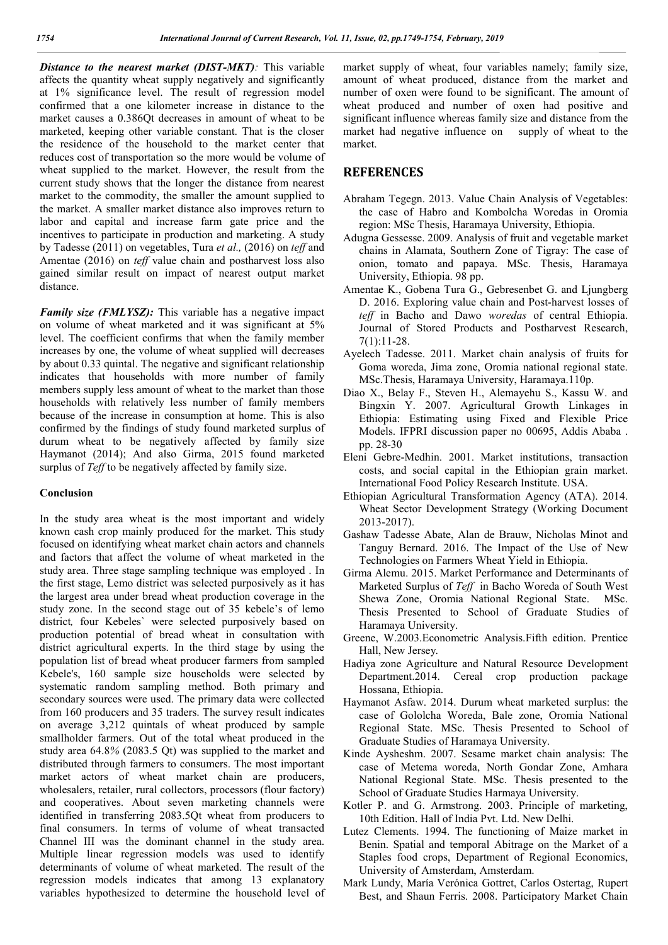*Distance to the nearest market (DIST-MKT):* This variable affects the quantity wheat supply negatively and significantly at 1% significance level. The result of regression model confirmed that a one kilometer increase in distance to the market causes a 0.386Qt decreases in amount of wheat to be marketed, keeping other variable constant. That is the closer the residence of the household to the market center that reduces cost of transportation so the more would be volume of wheat supplied to the market. However, the result from the current study shows that the longer the distance from nearest market to the commodity, the smaller the amount supplied to the market. A smaller market distance also improves return to labor and capital and increase farm gate price and the incentives to participate in production and marketing. A study by Tadesse (2011) on vegetables, Tura *et al.,* (2016) on *teff* and Amentae (2016) on *teff* value chain and postharvest loss also gained similar result on impact of nearest output market distance.

*Family size (FMLYSZ)*: This variable has a negative impact on volume of wheat marketed and it was significant at 5% level. The coefficient confirms that when the family member increases by one, the volume of wheat supplied will decreases by about 0.33 quintal. The negative and significant relationship indicates that households with more number of family members supply less amount of wheat to the market than those households with relatively less number of family members because of the increase in consumption at home. This is also confirmed by the findings of study found marketed surplus of durum wheat to be negatively affected by family size Haymanot (2014); And also Girma, 2015 found marketed surplus of *Teff* to be negatively affected by family size.

#### **Conclusion**

In the study area wheat is the most important and widely known cash crop mainly produced for the market. This study focused on identifying wheat market chain actors and channels and factors that affect the volume of wheat marketed in the study area. Three stage sampling technique was employed . In the first stage, Lemo district was selected purposively as it has the largest area under bread wheat production coverage in the study zone. In the second stage out of 35 kebele's of lemo district*,* four Kebeles` were selected purposively based on production potential of bread wheat in consultation with district agricultural experts. In the third stage by using the population list of bread wheat producer farmers from sampled Kebele's, 160 sample size households were selected by systematic random sampling method. Both primary and secondary sources were used. The primary data were collected from 160 producers and 35 traders. The survey result indicates on average 3,212 quintals of wheat produced by sample smallholder farmers. Out of the total wheat produced in the study area 64.8*%* (2083.5 Qt) was supplied to the market and distributed through farmers to consumers. The most important market actors of wheat market chain are producers, wholesalers, retailer, rural collectors, processors (flour factory) and cooperatives. About seven marketing channels were identified in transferring 2083.5Qt wheat from producers to final consumers. In terms of volume of wheat transacted Channel III was the dominant channel in the study area. Multiple linear regression models was used to identify determinants of volume of wheat marketed. The result of the regression models indicates that among 13 explanatory variables hypothesized to determine the household level of market supply of wheat, four variables namely; family size, amount of wheat produced, distance from the market and number of oxen were found to be significant. The amount of wheat produced and number of oxen had positive and significant influence whereas family size and distance from the market had negative influence on supply of wheat to the market.

### **REFERENCES**

- Abraham Tegegn. 2013. Value Chain Analysis of Vegetables: the case of Habro and Kombolcha Woredas in Oromia region: MSc Thesis, Haramaya University, Ethiopia.
- Adugna Gessesse. 2009. Analysis of fruit and vegetable market chains in Alamata, Southern Zone of Tigray: The case of onion, tomato and papaya. MSc. Thesis, Haramaya University, Ethiopia. 98 pp.
- Amentae K., Gobena Tura G., Gebresenbet G. and Ljungberg D. 2016. Exploring value chain and Post-harvest losses of *teff* in Bacho and Dawo *woredas* of central Ethiopia. Journal of Stored Products and Postharvest Research, 7(1):11-28.
- Ayelech Tadesse. 2011. Market chain analysis of fruits for Goma woreda, Jima zone, Oromia national regional state. MSc.Thesis, Haramaya University, Haramaya.110p.
- Diao X., Belay F., Steven H., Alemayehu S., Kassu W. and Bingxin Y. 2007. Agricultural Growth Linkages in Ethiopia: Estimating using Fixed and Flexible Price Models. IFPRI discussion paper no 00695, Addis Ababa . pp. 28-30
- Eleni Gebre-Medhin. 2001. Market institutions, transaction costs, and social capital in the Ethiopian grain market. International Food Policy Research Institute. USA.
- Ethiopian Agricultural Transformation Agency (ATA). 2014. Wheat Sector Development Strategy (Working Document 2013-2017).
- Gashaw Tadesse Abate, Alan de Brauw, Nicholas Minot and Tanguy Bernard. 2016. The Impact of the Use of New Technologies on Farmers Wheat Yield in Ethiopia.
- Girma Alemu. 2015. Market Performance and Determinants of Marketed Surplus of *Teff* in Bacho Woreda of South West Shewa Zone, Oromia National Regional State. MSc. Thesis Presented to School of Graduate Studies of Haramaya University.
- Greene, W.2003.Econometric Analysis.Fifth edition. Prentice Hall, New Jersey.
- Hadiya zone Agriculture and Natural Resource Development Department.2014. Cereal crop production package Hossana, Ethiopia.
- Haymanot Asfaw. 2014. Durum wheat marketed surplus: the case of Gololcha Woreda, Bale zone, Oromia National Regional State. MSc. Thesis Presented to School of Graduate Studies of Haramaya University.
- Kinde Aysheshm. 2007. Sesame market chain analysis: The case of Metema woreda, North Gondar Zone, Amhara National Regional State. MSc. Thesis presented to the School of Graduate Studies Harmaya University.
- Kotler P. and G. Armstrong. 2003. Principle of marketing, 10th Edition. Hall of India Pvt. Ltd. New Delhi.
- Lutez Clements. 1994. The functioning of Maize market in Benin. Spatial and temporal Abitrage on the Market of a Staples food crops, Department of Regional Economics, University of Amsterdam, Amsterdam.
- Mark Lundy, María Verónica Gottret, Carlos Ostertag, Rupert Best, and Shaun Ferris. 2008. Participatory Market Chain